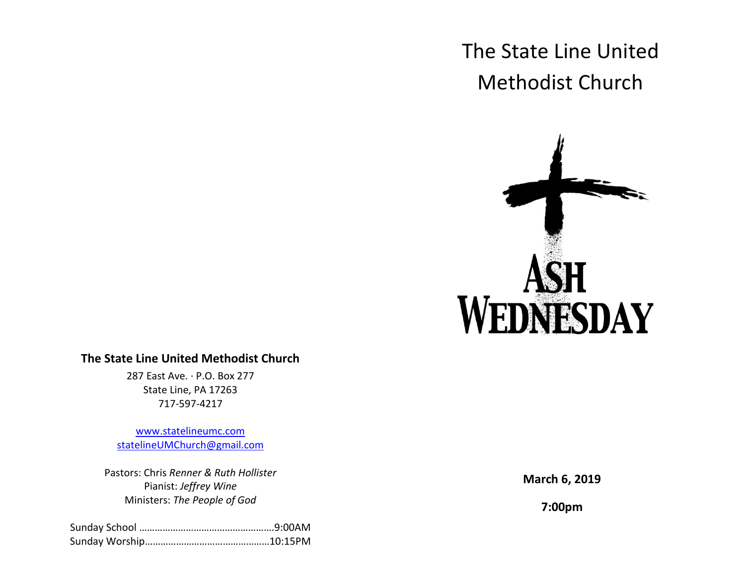# The State Line United Methodist Church



# **The State Line United Methodist Church**

287 East Ave. · P.O. Box 277 State Line, PA 17263 717-597-4217

[www.statelineumc.com](http://www.statelineumc.com/) [statelineUMChurch@gmail.com](mailto:statelineUMChurch@gmail.com)

Pastors: Chris *Renner & Ruth Hollister* Pianist: *Jeffrey Wine* Ministers: *The People of God*

**March 6, 2019**

**7:00pm**